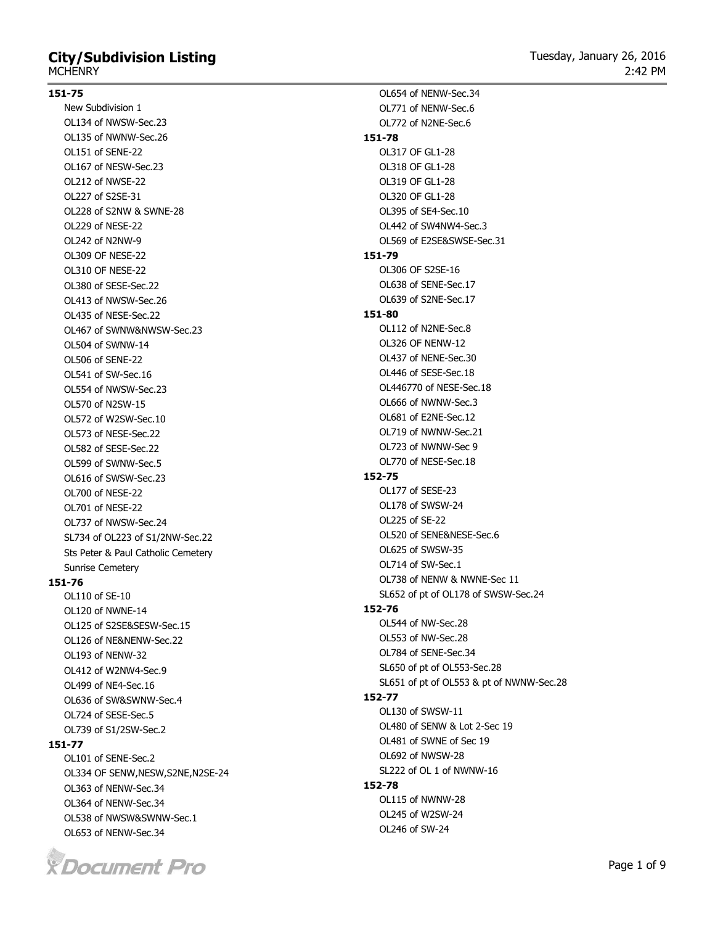# **City/Subdivision Listing MCHENRY**

#### **151-75**

New Subdivision 1 OL134 of NWSW-Sec.23 OL135 of NWNW-Sec.26 OL151 of SENE-22 OL167 of NESW-Sec.23 OL212 of NWSE-22 OL227 of S2SE-31 OL228 of S2NW & SWNE-28 OL229 of NESE-22 OL242 of N2NW-9 OL309 OF NESE-22 OL310 OF NESE-22 OL380 of SESE-Sec.22 OL413 of NWSW-Sec.26 OL435 of NESE-Sec.22 OL467 of SWNW&NWSW-Sec.23 OL504 of SWNW-14 OL506 of SENE-22 OL541 of SW-Sec.16 OL554 of NWSW-Sec.23 OL570 of N2SW-15 OL572 of W2SW-Sec.10 OL573 of NESE-Sec.22 OL582 of SESE-Sec.22 OL599 of SWNW-Sec.5 OL616 of SWSW-Sec.23 OL700 of NESE-22 OL701 of NESE-22 OL737 of NWSW-Sec.24 SL734 of OL223 of S1/2NW-Sec.22 Sts Peter & Paul Catholic Cemetery Sunrise Cemetery

#### **151-76**

OL110 of SE-10 OL120 of NWNE-14 OL125 of S2SE&SESW-Sec.15 OL126 of NE&NENW-Sec.22 OL193 of NENW-32 OL412 of W2NW4-Sec.9 OL499 of NE4-Sec.16 OL636 of SW&SWNW-Sec.4 OL724 of SESE-Sec.5 OL739 of S1/2SW-Sec.2

#### **151-77**

OL101 of SENE-Sec.2 OL334 OF SENW,NESW,S2NE,N2SE-24 OL363 of NENW-Sec.34 OL364 of NENW-Sec.34 OL538 of NWSW&SWNW-Sec.1 OL653 of NENW-Sec.34



OL771 of NENW-Sec.6 OL772 of N2NE-Sec.6 **151-78** OL317 OF GL1-28 OL318 OF GL1-28 OL319 OF GL1-28 OL320 OF GL1-28 OL395 of SE4-Sec.10 OL442 of SW4NW4-Sec.3 OL569 of E2SE&SWSE-Sec.31 **151-79** OL306 OF S2SE-16 OL638 of SENE-Sec.17 OL639 of S2NE-Sec.17 **151-80** OL112 of N2NE-Sec.8 OL326 OF NENW-12 OL437 of NENE-Sec.30 OL446 of SESE-Sec.18 OL446770 of NESE-Sec.18 OL666 of NWNW-Sec.3 OL681 of E2NE-Sec.12 OL719 of NWNW-Sec.21 OL723 of NWNW-Sec 9 OL770 of NESE-Sec.18 **152-75** OL177 of SESE-23 OL178 of SWSW-24 OL225 of SE-22 OL520 of SENE&NESE-Sec.6 OL625 of SWSW-35 OL714 of SW-Sec.1 OL738 of NENW & NWNE-Sec 11 SL652 of pt of OL178 of SWSW-Sec.24 **152-76** OL544 of NW-Sec.28 OL553 of NW-Sec.28 OL784 of SENE-Sec.34 SL650 of pt of OL553-Sec.28 SL651 of pt of OL553 & pt of NWNW-Sec.28 **152-77** OL130 of SWSW-11 OL480 of SENW & Lot 2-Sec 19 OL481 of SWNE of Sec 19 OL692 of NWSW-28 SL222 of OL 1 of NWNW-16 **152-78** OL115 of NWNW-28 OL245 of W2SW-24 OL246 of SW-24

OL654 of NENW-Sec.34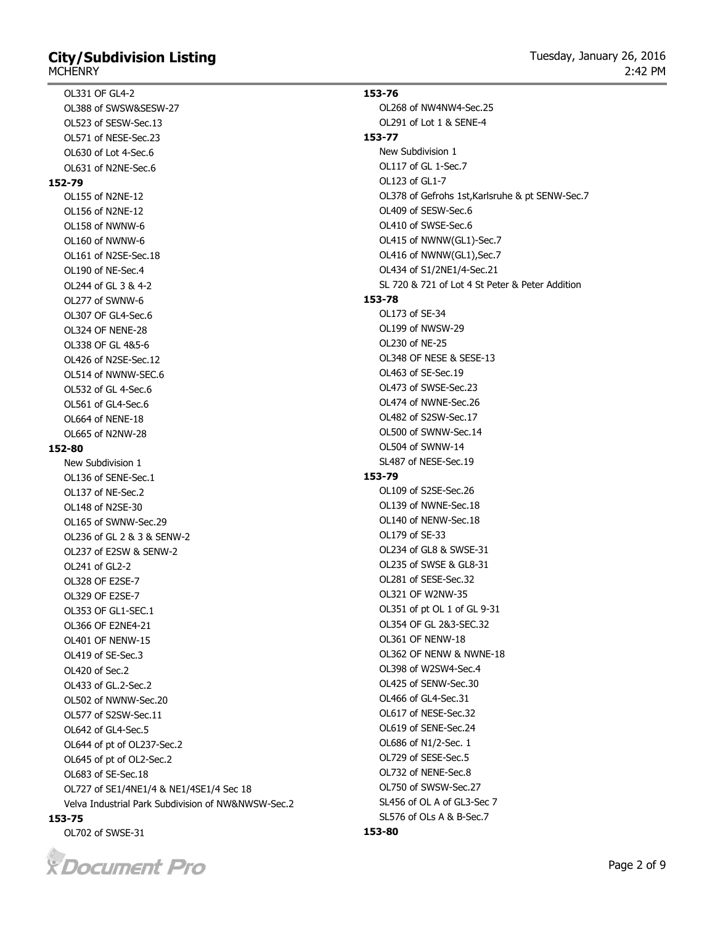# **City/Subdivision Listing**

OL331 OF GL4-2

OL388 of SWSW&SESW-27 OL523 of SESW-Sec.13 OL571 of NESE-Sec.23 OL630 of Lot 4-Sec.6 OL631 of N2NE-Sec.6 **152-79** OL155 of N2NE-12 OL156 of N2NE-12 OL158 of NWNW-6 OL160 of NWNW-6 OL161 of N2SE-Sec.18 OL190 of NE-Sec.4 OL244 of GL 3 & 4-2 OL277 of SWNW-6 OL307 OF GL4-Sec.6 OL324 OF NENE-28 OL338 OF GL 4&5-6 OL426 of N2SE-Sec.12 OL514 of NWNW-SEC.6 OL532 of GL 4-Sec.6 OL561 of GL4-Sec.6 OL664 of NENE-18 OL665 of N2NW-28 **152-80** New Subdivision 1 OL136 of SENE-Sec.1 OL137 of NE-Sec.2 OL148 of N2SE-30 OL165 of SWNW-Sec.29 OL236 of GL 2 & 3 & SENW-2 OL237 of E2SW & SENW-2 OL241 of GL2-2 OL328 OF E2SE-7 OL329 OF E2SE-7 OL353 OF GL1-SEC.1 OL366 OF E2NE4-21 OL401 OF NENW-15 OL419 of SE-Sec.3 OL420 of Sec.2 OL433 of GL.2-Sec.2 OL502 of NWNW-Sec.20 OL577 of S2SW-Sec.11 OL642 of GL4-Sec.5 OL644 of pt of OL237-Sec.2 OL645 of pt of OL2-Sec.2 OL683 of SE-Sec.18 OL727 of SE1/4NE1/4 & NE1/4SE1/4 Sec 18 Velva Industrial Park Subdivision of NW&NWSW-Sec.2

### **153-75**

OL702 of SWSE-31



**153-76** OL268 of NW4NW4-Sec.25 OL291 of Lot 1 & SENE-4 **153-77** New Subdivision 1 OL117 of GL 1-Sec.7 OL123 of GL1-7 OL378 of Gefrohs 1st,Karlsruhe & pt SENW-Sec.7 OL409 of SESW-Sec.6 OL410 of SWSE-Sec.6 OL415 of NWNW(GL1)-Sec.7 OL416 of NWNW(GL1),Sec.7 OL434 of S1/2NE1/4-Sec.21 SL 720 & 721 of Lot 4 St Peter & Peter Addition **153-78** OL173 of SE-34 OL199 of NWSW-29 OL230 of NE-25 OL348 OF NESE & SESE-13 OL463 of SE-Sec.19 OL473 of SWSE-Sec.23 OL474 of NWNE-Sec.26 OL482 of S2SW-Sec.17 OL500 of SWNW-Sec.14 OL504 of SWNW-14 SL487 of NESE-Sec.19 **153-79** OL109 of S2SE-Sec.26 OL139 of NWNE-Sec.18 OL140 of NENW-Sec.18 OL179 of SE-33 OL234 of GL8 & SWSE-31 OL235 of SWSE & GL8-31 OL281 of SESE-Sec.32 OL321 OF W2NW-35 OL351 of pt OL 1 of GL 9-31 OL354 OF GL 2&3-SEC.32 OL361 OF NENW-18 OL362 OF NENW & NWNE-18 OL398 of W2SW4-Sec.4 OL425 of SENW-Sec.30 OL466 of GL4-Sec.31 OL617 of NESE-Sec.32 OL619 of SENE-Sec.24 OL686 of N1/2-Sec. 1 OL729 of SESE-Sec.5 OL732 of NENE-Sec.8 OL750 of SWSW-Sec.27 SL456 of OL A of GL3-Sec 7

# **153-80**

SL576 of OLs A & B-Sec.7

Page 2 of 9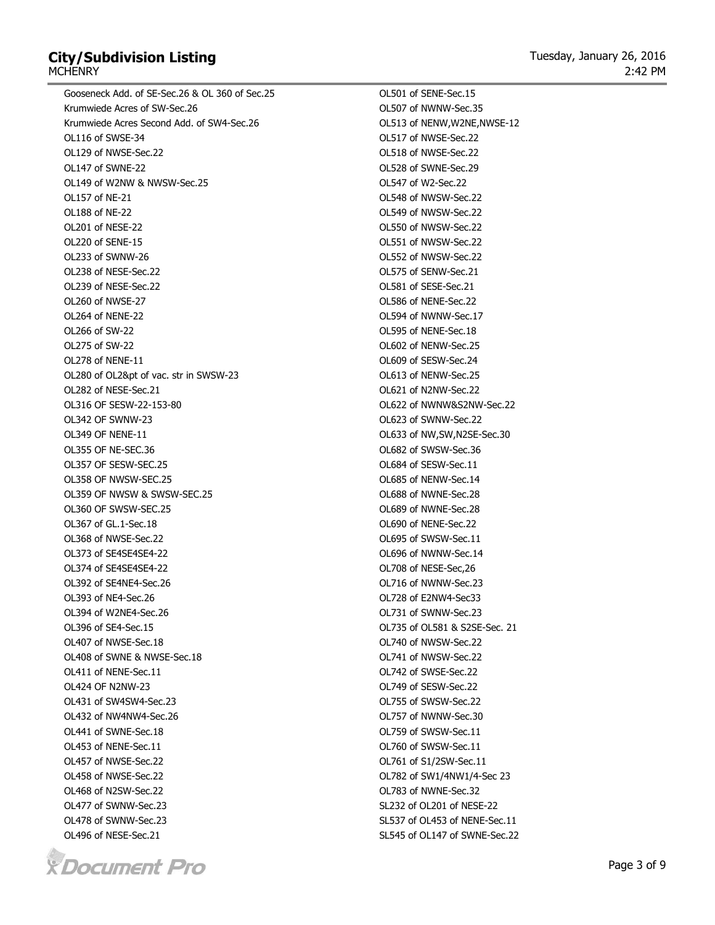# **City/Subdivision Listing MCHENRY**

Gooseneck Add. of SE-Sec.26 & OL 360 of Sec.25 Krumwiede Acres of SW-Sec.26 Krumwiede Acres Second Add. of SW4-Sec.26 OL116 of SWSE-34 OL129 of NWSE-Sec.22 OL147 of SWNE-22 OL149 of W2NW & NWSW-Sec.25 OL157 of NE-21 OL188 of NE-22 OL201 of NESE-22 OL220 of SENE-15 OL233 of SWNW-26 OL238 of NESE-Sec.22 OL239 of NESE-Sec.22 OL260 of NWSE-27 OL264 of NENE-22 OL266 of SW-22 OL275 of SW-22 OL278 of NENE-11 OL280 of OL2&pt of vac. str in SWSW-23 OL282 of NESE-Sec.21 OL316 OF SESW-22-153-80 OL342 OF SWNW-23 OL349 OF NENE-11 OL355 OF NE-SEC.36 OL357 OF SESW-SEC.25 OL358 OF NWSW-SEC.25 OL359 OF NWSW & SWSW-SEC.25 OL360 OF SWSW-SEC.25 OL367 of GL.1-Sec.18 OL368 of NWSE-Sec.22 OL373 of SE4SE4SE4-22 OL374 of SE4SE4SE4-22 OL392 of SE4NE4-Sec.26 OL393 of NE4-Sec.26 OL394 of W2NE4-Sec.26 OL396 of SE4-Sec.15 OL407 of NWSE-Sec.18 OL408 of SWNE & NWSE-Sec.18 OL411 of NENE-Sec.11 OL424 OF N2NW-23 OL431 of SW4SW4-Sec.23 OL432 of NW4NW4-Sec.26 OL441 of SWNE-Sec.18 OL453 of NENE-Sec.11 OL457 of NWSE-Sec.22 OL458 of NWSE-Sec.22 OL468 of N2SW-Sec.22 OL477 of SWNW-Sec.23 OL478 of SWNW-Sec.23 OL496 of NESE-Sec.21



OL501 of SENE-Sec.15 OL507 of NWNW-Sec.35 OL513 of NENW,W2NE,NWSE-12 OL517 of NWSE-Sec.22 OL518 of NWSE-Sec.22 OL528 of SWNE-Sec.29 OL547 of W2-Sec.22 OL548 of NWSW-Sec.22 OL549 of NWSW-Sec.22 OL550 of NWSW-Sec.22 OL551 of NWSW-Sec.22 OL552 of NWSW-Sec.22 OL575 of SENW-Sec.21 OL581 of SESE-Sec.21 OL586 of NENE-Sec.22 OL594 of NWNW-Sec.17 OL595 of NENE-Sec.18 OL602 of NENW-Sec.25 OL609 of SESW-Sec.24 OL613 of NENW-Sec.25 OL621 of N2NW-Sec.22 OL622 of NWNW&S2NW-Sec.22 OL623 of SWNW-Sec.22 OL633 of NW,SW,N2SE-Sec.30 OL682 of SWSW-Sec.36 OL684 of SESW-Sec.11 OL685 of NENW-Sec.14 OL688 of NWNE-Sec.28 OL689 of NWNE-Sec.28 OL690 of NENE-Sec.22 OL695 of SWSW-Sec.11 OL696 of NWNW-Sec.14 OL708 of NESE-Sec,26 OL716 of NWNW-Sec.23 OL728 of E2NW4-Sec33 OL731 of SWNW-Sec.23 OL735 of OL581 & S2SE-Sec. 21 OL740 of NWSW-Sec.22 OL741 of NWSW-Sec.22 OL742 of SWSE-Sec.22 OL749 of SESW-Sec.22 OL755 of SWSW-Sec.22 OL757 of NWNW-Sec.30 OL759 of SWSW-Sec.11 OL760 of SWSW-Sec.11 OL761 of S1/2SW-Sec.11 OL782 of SW1/4NW1/4-Sec 23 OL783 of NWNE-Sec.32 SL232 of OL201 of NESE-22 SL537 of OL453 of NENE-Sec.11 SL545 of OL147 of SWNE-Sec.22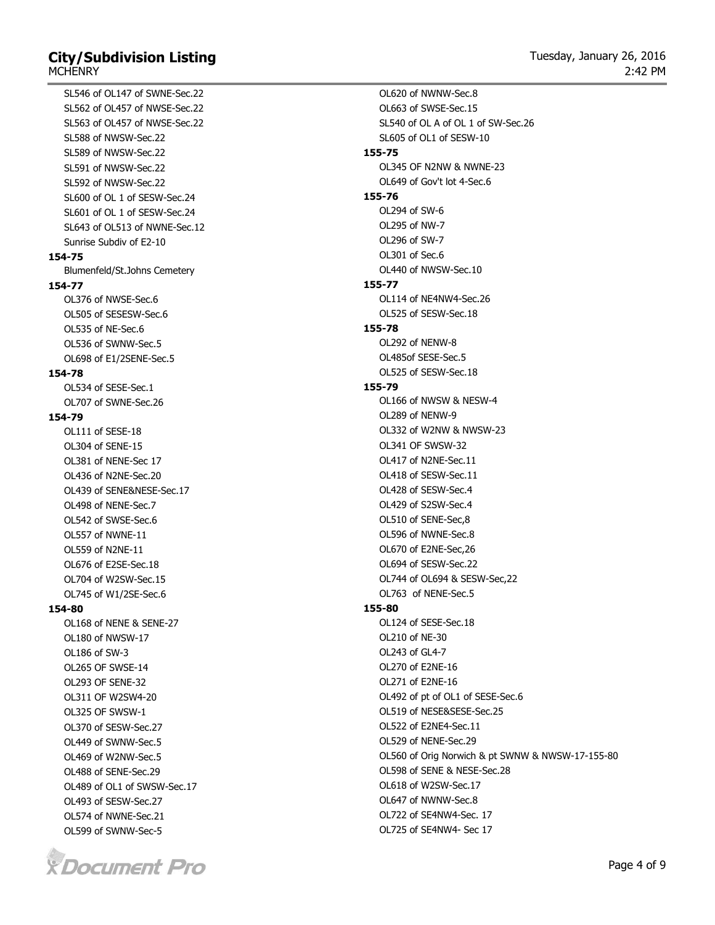### **City/Subdivision Listing MCHFNRY**

SL546 of OL147 of SWNE-Sec.22

SL562 of OL457 of NWSE-Sec.22 SL563 of OL457 of NWSE-Sec.22 SL588 of NWSW-Sec.22 SL589 of NWSW-Sec.22 SL591 of NWSW-Sec.22 SL592 of NWSW-Sec.22 SL600 of OL 1 of SESW-Sec.24 SL601 of OL 1 of SESW-Sec.24 SL643 of OL513 of NWNE-Sec.12 Sunrise Subdiv of E2-10 **154-75** Blumenfeld/St.Johns Cemetery **154-77** OL376 of NWSE-Sec.6 OL505 of SESESW-Sec.6 OL535 of NE-Sec.6 OL536 of SWNW-Sec.5 OL698 of E1/2SENE-Sec.5 **154-78** OL534 of SESE-Sec.1 OL707 of SWNE-Sec.26 **154-79** OL111 of SESE-18 OL304 of SENE-15 OL381 of NENE-Sec 17 OL436 of N2NE-Sec.20 OL439 of SENE&NESE-Sec.17 OL498 of NENE-Sec.7 OL542 of SWSE-Sec.6 OL557 of NWNE-11 OL559 of N2NE-11 OL676 of E2SE-Sec.18 OL704 of W2SW-Sec.15 OL745 of W1/2SE-Sec.6 **154-80** OL168 of NENE & SENE-27 OL180 of NWSW-17 OL186 of SW-3 OL265 OF SWSE-14 OL293 OF SENE-32 OL311 OF W2SW4-20 OL325 OF SWSW-1 OL370 of SESW-Sec.27 OL449 of SWNW-Sec.5 OL469 of W2NW-Sec.5 OL488 of SENE-Sec.29 OL489 of OL1 of SWSW-Sec.17

OL493 of SESW-Sec.27 OL574 of NWNE-Sec.21 OL599 of SWNW-Sec-5



OL620 of NWNW-Sec.8 OL663 of SWSE-Sec.15 SL540 of OL A of OL 1 of SW-Sec.26 SL605 of OL1 of SESW-10 **155-75** OL345 OF N2NW & NWNE-23 OL649 of Gov't lot 4-Sec.6 **155-76** OL294 of SW-6 OL295 of NW-7 OL296 of SW-7 OL301 of Sec.6 OL440 of NWSW-Sec.10 **155-77** OL114 of NE4NW4-Sec.26 OL525 of SESW-Sec.18 **155-78** OL292 of NENW-8 OL485of SESE-Sec.5 OL525 of SESW-Sec.18 **155-79** OL166 of NWSW & NESW-4 OL289 of NENW-9 OL332 of W2NW & NWSW-23 OL341 OF SWSW-32 OL417 of N2NE-Sec.11 OL418 of SESW-Sec.11 OL428 of SESW-Sec.4 OL429 of S2SW-Sec.4 OL510 of SENE-Sec,8 OL596 of NWNE-Sec.8 OL670 of E2NE-Sec,26 OL694 of SESW-Sec.22 OL744 of OL694 & SESW-Sec,22 OL763 of NENE-Sec.5 **155-80** OL124 of SESE-Sec.18 OL210 of NE-30 OL243 of GL4-7 OL270 of E2NE-16 OL271 of E2NE-16 OL492 of pt of OL1 of SESE-Sec.6 OL519 of NESE&SESE-Sec.25 OL522 of E2NE4-Sec.11 OL529 of NENE-Sec.29 OL560 of Orig Norwich & pt SWNW & NWSW-17-155-80 OL598 of SENE & NESE-Sec.28 OL618 of W2SW-Sec.17 OL647 of NWNW-Sec.8 OL722 of SE4NW4-Sec. 17

OL725 of SE4NW4- Sec 17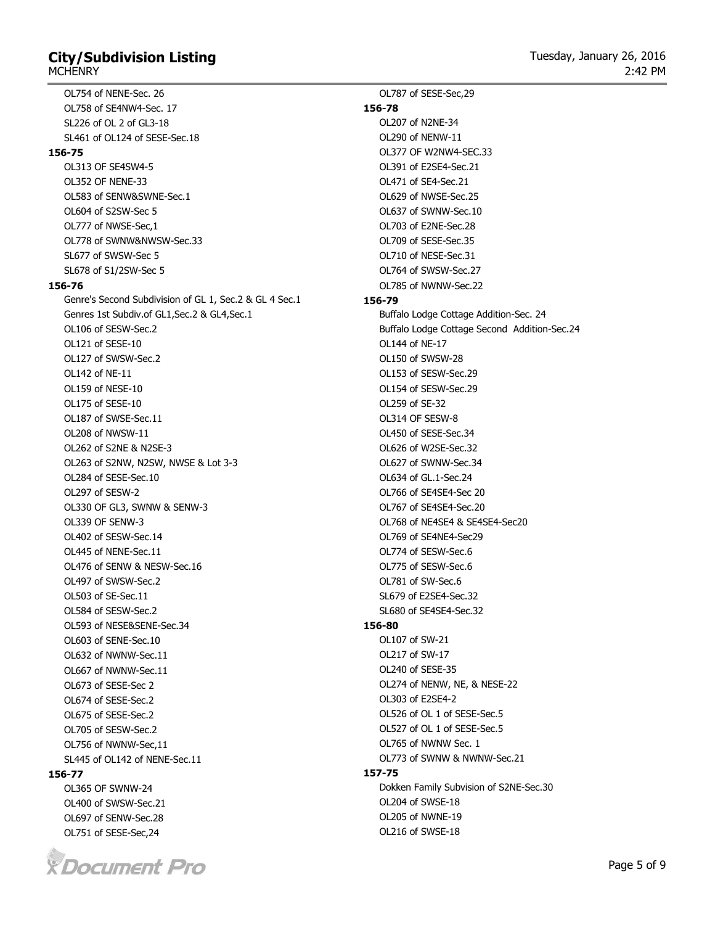### **City/Subdivision Listing MCHFNRY**

OL754 of NENE-Sec. 26 OL758 of SE4NW4-Sec. 17 SL226 of OL 2 of GL3-18 SL461 of OL124 of SESE-Sec.18 **156-75** OL313 OF SE4SW4-5 OL352 OF NENE-33 OL583 of SENW&SWNE-Sec.1 OL604 of S2SW-Sec 5 OL777 of NWSE-Sec,1 OL778 of SWNW&NWSW-Sec.33 SL677 of SWSW-Sec 5 SL678 of S1/2SW-Sec 5 **156-76** Genre's Second Subdivision of GL 1, Sec.2 & GL 4 Sec.1 Genres 1st Subdiv.of GL1,Sec.2 & GL4,Sec.1 OL106 of SESW-Sec.2 OL121 of SESE-10 OL127 of SWSW-Sec.2 OL142 of NE-11 OL159 of NESE-10 OL175 of SESE-10 OL187 of SWSE-Sec.11 OL208 of NWSW-11 OL262 of S2NE & N2SE-3 OL263 of S2NW, N2SW, NWSE & Lot 3-3 OL284 of SESE-Sec.10 OL297 of SESW-2 OL330 OF GL3, SWNW & SENW-3 OL339 OF SENW-3 OL402 of SESW-Sec.14 OL445 of NENE-Sec.11

OL476 of SENW & NESW-Sec.16

OL497 of SWSW-Sec.2 OL503 of SE-Sec.11 OL584 of SESW-Sec.2 OL593 of NESE&SENE-Sec.34 OL603 of SENE-Sec.10 OL632 of NWNW-Sec.11 OL667 of NWNW-Sec.11 OL673 of SESE-Sec 2 OL674 of SESE-Sec.2 OL675 of SESE-Sec.2 OL705 of SESW-Sec.2 OL756 of NWNW-Sec,11 SL445 of OL142 of NENE-Sec.11 **156-79 156-80 157-75**

OL787 of SESE-Sec,29 **156-78** OL207 of N2NE-34 OL290 of NENW-11 OL377 OF W2NW4-SEC.33 OL391 of E2SE4-Sec.21 OL471 of SE4-Sec.21 OL629 of NWSE-Sec.25 OL637 of SWNW-Sec.10 OL703 of E2NE-Sec.28 OL709 of SESE-Sec.35 OL710 of NESE-Sec.31 OL764 of SWSW-Sec.27 OL785 of NWNW-Sec.22 Buffalo Lodge Cottage Addition-Sec. 24 Buffalo Lodge Cottage Second Addition-Sec.24 OL144 of NE-17 OL150 of SWSW-28 OL153 of SESW-Sec.29 OL154 of SESW-Sec.29 OL259 of SE-32 OL314 OF SESW-8 OL450 of SESE-Sec.34 OL626 of W2SE-Sec.32 OL627 of SWNW-Sec.34 OL634 of GL.1-Sec.24 OL766 of SE4SE4-Sec 20 OL767 of SE4SE4-Sec.20 OL768 of NE4SE4 & SE4SE4-Sec20 OL769 of SE4NE4-Sec29 OL774 of SESW-Sec.6 OL775 of SESW-Sec.6 OL781 of SW-Sec.6 SL679 of E2SE4-Sec.32 SL680 of SE4SE4-Sec.32 OL107 of SW-21 OL217 of SW-17 OL240 of SESE-35 OL274 of NENW, NE, & NESE-22 OL303 of E2SE4-2 OL526 of OL 1 of SESE-Sec.5 OL527 of OL 1 of SESE-Sec.5 OL765 of NWNW Sec. 1 OL773 of SWNW & NWNW-Sec.21 Dokken Family Subvision of S2NE-Sec.30 OL204 of SWSE-18 OL205 of NWNE-19 OL216 of SWSE-18



OL365 OF SWNW-24 OL400 of SWSW-Sec.21 OL697 of SENW-Sec.28 OL751 of SESE-Sec,24

**156-77**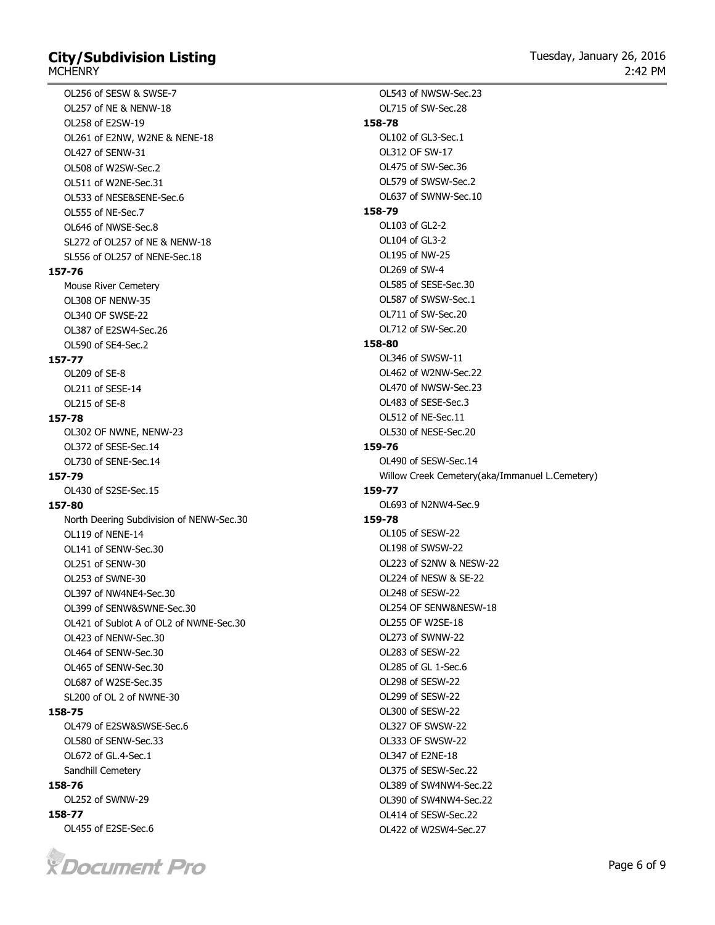# **City/Subdivision Listing MCHFNRY**

OL256 of SESW & SWSE-7 OL257 of NE & NENW-18 OL258 of E2SW-19 OL261 of E2NW, W2NE & NENE-18 OL427 of SENW-31 OL508 of W2SW-Sec.2 OL511 of W2NE-Sec.31 OL533 of NESE&SENE-Sec.6 OL555 of NE-Sec.7 OL646 of NWSE-Sec.8 SL272 of OL257 of NE & NENW-18 SL556 of OL257 of NENE-Sec.18 **157-76** Mouse River Cemetery OL308 OF NENW-35 OL340 OF SWSE-22 OL387 of E2SW4-Sec.26 OL590 of SE4-Sec.2 **157-77** OL209 of SE-8 OL211 of SESE-14 OL215 of SE-8 **157-78** OL302 OF NWNE, NENW-23 OL372 of SESE-Sec.14 OL730 of SENE-Sec.14 **157-79** OL430 of S2SE-Sec.15 **157-80** North Deering Subdivision of NENW-Sec.30 OL119 of NENE-14 OL141 of SENW-Sec.30 OL251 of SENW-30 OL253 of SWNE-30 OL397 of NW4NE4-Sec.30 OL399 of SENW&SWNE-Sec.30 OL421 of Sublot A of OL2 of NWNE-Sec.30 OL423 of NENW-Sec.30 OL464 of SENW-Sec.30 OL465 of SENW-Sec.30 OL687 of W2SE-Sec.35 SL200 of OL 2 of NWNE-30 **158-75** OL479 of E2SW&SWSE-Sec.6 OL580 of SENW-Sec.33 OL672 of GL.4-Sec.1

#### Sandhill Cemetery **158-76**

OL252 of SWNW-29 **158-77**

OL455 of E2SE-Sec.6



OL543 of NWSW-Sec.23 OL715 of SW-Sec.28 **158-78** OL102 of GL3-Sec.1 OL312 OF SW-17 OL475 of SW-Sec.36 OL579 of SWSW-Sec.2 OL637 of SWNW-Sec.10 **158-79** OL103 of GL2-2 OL104 of GL3-2 OL195 of NW-25 OL269 of SW-4 OL585 of SESE-Sec.30 OL587 of SWSW-Sec.1 OL711 of SW-Sec.20 OL712 of SW-Sec.20 **158-80** OL346 of SWSW-11 OL462 of W2NW-Sec.22 OL470 of NWSW-Sec.23 OL483 of SESE-Sec.3 OL512 of NE-Sec.11 OL530 of NESE-Sec.20 **159-76** OL490 of SESW-Sec.14 Willow Creek Cemetery(aka/Immanuel L.Cemetery) **159-77** OL693 of N2NW4-Sec.9 **159-78** OL105 of SESW-22 OL198 of SWSW-22 OL223 of S2NW & NESW-22 OL224 of NESW & SE-22 OL248 of SESW-22 OL254 OF SENW&NESW-18 OL255 OF W2SE-18 OL273 of SWNW-22 OL283 of SESW-22 OL285 of GL 1-Sec.6 OL298 of SESW-22 OL299 of SESW-22 OL300 of SESW-22 OL327 OF SWSW-22 OL333 OF SWSW-22 OL347 of E2NE-18 OL375 of SESW-Sec.22 OL389 of SW4NW4-Sec.22 OL390 of SW4NW4-Sec.22 OL414 of SESW-Sec.22

OL422 of W2SW4-Sec.27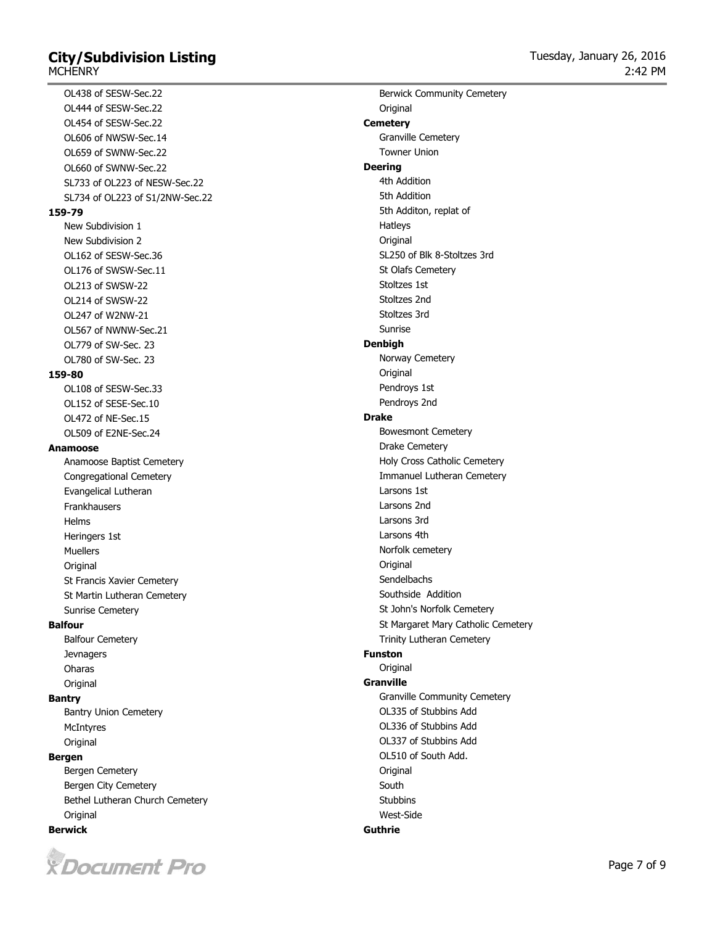# **City/Subdivision Listing MCHENRY**

OL438 of SESW-Sec.22 OL444 of SESW-Sec.22 OL454 of SESW-Sec.22 OL606 of NWSW-Sec.14 OL659 of SWNW-Sec.22 OL660 of SWNW-Sec.22 SL733 of OL223 of NESW-Sec.22 SL734 of OL223 of S1/2NW-Sec.22 **159-79** New Subdivision 1 New Subdivision 2 OL162 of SESW-Sec.36 OL176 of SWSW-Sec.11 OL213 of SWSW-22 OL214 of SWSW-22 OL247 of W2NW-21 OL567 of NWNW-Sec.21 OL779 of SW-Sec. 23 OL780 of SW-Sec. 23 **159-80** OL108 of SESW-Sec.33 OL152 of SESE-Sec.10 OL472 of NE-Sec.15 OL509 of E2NE-Sec.24 **Anamoose** Anamoose Baptist Cemetery Congregational Cemetery Evangelical Lutheran Frankhausers Helms Heringers 1st Muellers Original St Francis Xavier Cemetery St Martin Lutheran Cemetery Sunrise Cemetery **Balfour** Balfour Cemetery **Jevnagers** Oharas **Original Bantry** Bantry Union Cemetery **McIntyres Original Bergen** Bergen Cemetery Bergen City Cemetery

Bethel Lutheran Church Cemetery **Original Berwick**



Berwick Community Cemetery **Original Cemetery** Granville Cemetery Towner Union **Deering** 4th Addition 5th Addition 5th Additon, replat of Hatleys **Original** SL250 of Blk 8-Stoltzes 3rd St Olafs Cemetery Stoltzes 1st Stoltzes 2nd Stoltzes 3rd Sunrise **Denbigh** Norway Cemetery **Original** Pendroys 1st Pendroys 2nd **Drake** Bowesmont Cemetery Drake Cemetery Holy Cross Catholic Cemetery Immanuel Lutheran Cemetery Larsons 1st Larsons 2nd Larsons 3rd Larsons 4th Norfolk cemetery **Original** Sendelbachs Southside Addition St John's Norfolk Cemetery St Margaret Mary Catholic Cemetery Trinity Lutheran Cemetery **Funston Original Granville** Granville Community Cemetery OL335 of Stubbins Add OL336 of Stubbins Add OL337 of Stubbins Add OL510 of South Add. **Original** South **Stubbins** West-Side **Guthrie**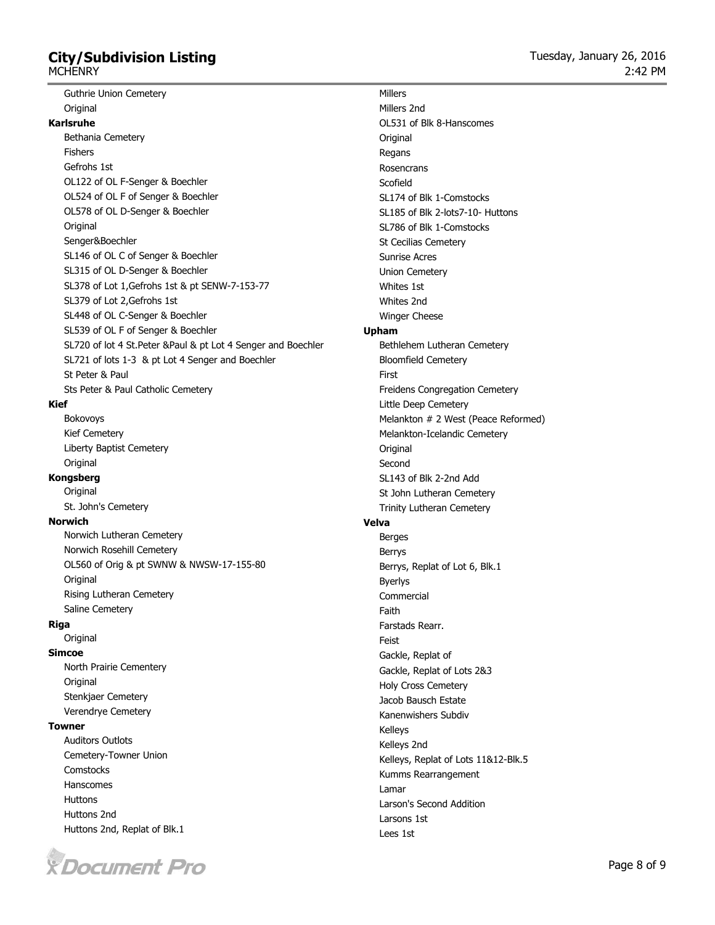# **City/Subdivision Listing**

**MCHENRY** 

Guthrie Union Cemetery **Original Karlsruhe**

# Bethania Cemetery Fishers Gefrohs 1st OL122 of OL F-Senger & Boechler OL524 of OL F of Senger & Boechler OL578 of OL D-Senger & Boechler Original Senger&Boechler SL146 of OL C of Senger & Boechler SL315 of OL D-Senger & Boechler SL378 of Lot 1,Gefrohs 1st & pt SENW-7-153-77 SL379 of Lot 2,Gefrohs 1st SL448 of OL C-Senger & Boechler SL539 of OL F of Senger & Boechler SL720 of lot 4 St.Peter &Paul & pt Lot 4 Senger and Boechler SL721 of lots 1-3 & pt Lot 4 Senger and Boechler St Peter & Paul

Sts Peter & Paul Catholic Cemetery

# **Kief**

Bokovoys Kief Cemetery Liberty Baptist Cemetery **Original** 

## **Kongsberg**

**Original** St. John's Cemetery

## **Norwich**

Norwich Lutheran Cemetery Norwich Rosehill Cemetery OL560 of Orig & pt SWNW & NWSW-17-155-80 Original Rising Lutheran Cemetery

Saline Cemetery

**Riga**

**Original** 

## **Simcoe**

North Prairie Cementery **Original** Stenkjaer Cemetery Verendrye Cemetery

#### **Towner**

Auditors Outlots Cemetery-Towner Union **Comstocks** Hanscomes Huttons Huttons 2nd Huttons 2nd, Replat of Blk.1



Millers Millers 2nd OL531 of Blk 8-Hanscomes **Original** Regans Rosencrans Scofield SL174 of Blk 1-Comstocks SL185 of Blk 2-lots7-10- Huttons SL786 of Blk 1-Comstocks St Cecilias Cemetery Sunrise Acres Union Cemetery Whites 1st Whites 2nd Winger Cheese **Upham** Bethlehem Lutheran Cemetery Bloomfield Cemetery First Freidens Congregation Cemetery Little Deep Cemetery Melankton # 2 West (Peace Reformed) Melankton-Icelandic Cemetery **Original** Second SL143 of Blk 2-2nd Add St John Lutheran Cemetery Trinity Lutheran Cemetery **Velva** Berges Berrys Berrys, Replat of Lot 6, Blk.1 Byerlys Commercial Faith Farstads Rearr. Feist Gackle, Replat of Gackle, Replat of Lots 2&3 Holy Cross Cemetery Jacob Bausch Estate Kanenwishers Subdiv Kelleys Kelleys 2nd Kelleys, Replat of Lots 11&12-Blk.5 Kumms Rearrangement Lamar Larson's Second Addition Larsons 1st Lees 1st